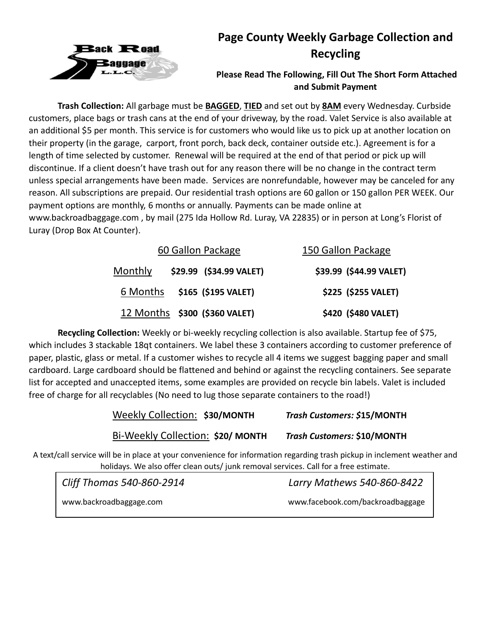

# **Page County Weekly Garbage Collection and Recycling**

### **Please Read The Following, Fill Out The Short Form Attached and Submit Payment**

**Trash Collection:** All garbage must be **BAGGED**, **TIED** and set out by **8AM** every Wednesday. Curbside customers, place bags or trash cans at the end of your driveway, by the road. Valet Service is also available at an additional \$5 per month. This service is for customers who would like us to pick up at another location on their property (in the garage, carport, front porch, back deck, container outside etc.). Agreement is for a length of time selected by customer. Renewal will be required at the end of that period or pick up will discontinue. If a client doesn't have trash out for any reason there will be no change in the contract term unless special arrangements have been made. Services are nonrefundable, however may be canceled for any reason. All subscriptions are prepaid. Our residential trash options are 60 gallon or 150 gallon PER WEEK. Our payment options are monthly, 6 months or annually. Payments can be made online at www.backroadbaggage.com , by mail (275 Ida Hollow Rd. Luray, VA 22835) or in person at Long's Florist of Luray (Drop Box At Counter).

| 60 Gallon Package                  | 150 Gallon Package      |
|------------------------------------|-------------------------|
| \$29.99 (\$34.99 VALET)<br>Monthly | \$39.99 (\$44.99 VALET) |
| 6 Months \$165 (\$195 VALET)       | \$225 (\$255 VALET)     |
| 12 Months \$300 (\$360 VALET)      | \$420 (\$480 VALET)     |

**Recycling Collection:** Weekly or bi-weekly recycling collection is also available. Startup fee of \$75, which includes 3 stackable 18qt containers. We label these 3 containers according to customer preference of paper, plastic, glass or metal. If a customer wishes to recycle all 4 items we suggest bagging paper and small cardboard. Large cardboard should be flattened and behind or against the recycling containers. See separate list for accepted and unaccepted items, some examples are provided on recycle bin labels. Valet is included free of charge for all recyclables (No need to lug those separate containers to the road!)

| Weekly Collection: \$30/MONTH     | Trash Customers: \$15/MONTH |
|-----------------------------------|-----------------------------|
| Bi-Weekly Collection: \$20/ MONTH | Trash Customers: \$10/MONTH |

A text/call service will be in place at your convenience for information regarding trash pickup in inclement weather and holidays. We also offer clean outs/ junk removal services. Call for a free estimate.

| Cliff Thomas 540-860-2914 | Larry Mathews 540-860-8422       |
|---------------------------|----------------------------------|
| www.backroadbaggage.com   | www.facebook.com/backroadbaggage |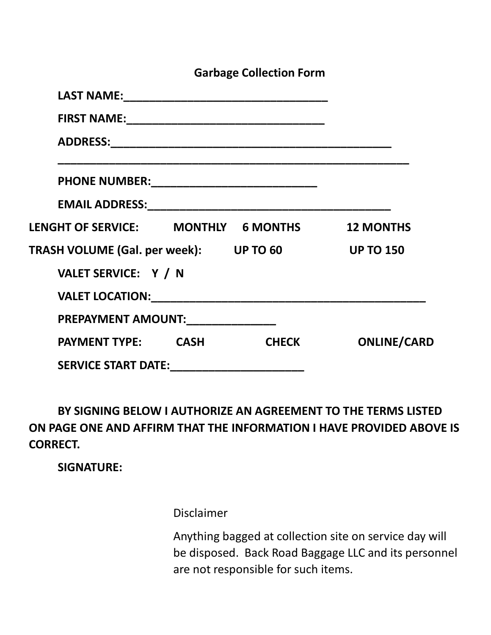|                                               |  | <b>Garbage Collection Form</b> |                    |
|-----------------------------------------------|--|--------------------------------|--------------------|
|                                               |  |                                |                    |
|                                               |  |                                |                    |
|                                               |  |                                |                    |
|                                               |  |                                |                    |
|                                               |  |                                |                    |
| LENGHT OF SERVICE: MONTHLY 6 MONTHS 12 MONTHS |  |                                |                    |
| TRASH VOLUME (Gal. per week): UP TO 60        |  |                                | <b>UP TO 150</b>   |
| VALET SERVICE: Y / N                          |  |                                |                    |
|                                               |  |                                |                    |
| PREPAYMENT AMOUNT:_______________             |  |                                |                    |
| <b>PAYMENT TYPE: CASH</b>                     |  | <b>CHECK</b>                   | <b>ONLINE/CARD</b> |
| SERVICE START DATE:__________________________ |  |                                |                    |

**BY SIGNING BELOW I AUTHORIZE AN AGREEMENT TO THE TERMS LISTED ON PAGE ONE AND AFFIRM THAT THE INFORMATION I HAVE PROVIDED ABOVE IS CORRECT.**

**SIGNATURE:**

Disclaimer

Anything bagged at collection site on service day will be disposed. Back Road Baggage LLC and its personnel are not responsible for such items.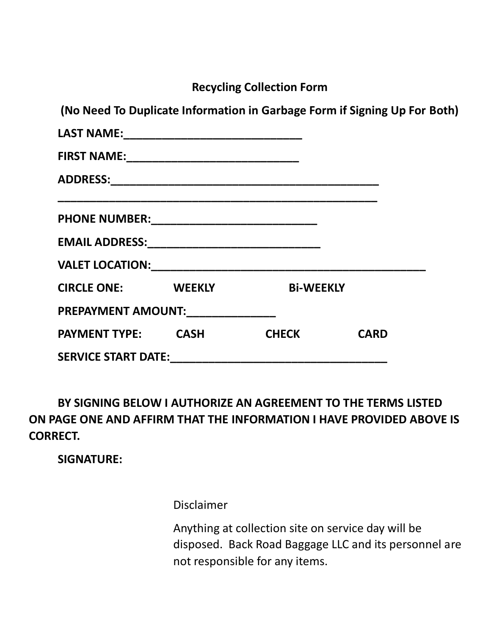**Recycling Collection Form**

**(No Need To Duplicate Information in Garbage Form if Signing Up For Both)**

| <b>CIRCLE ONE: WEEKLY</b>  |  | <b>Bi-WEEKLY</b> |             |  |  |  |
|----------------------------|--|------------------|-------------|--|--|--|
| PREPAYMENT AMOUNT:         |  |                  |             |  |  |  |
| <b>PAYMENT TYPE: CASH</b>  |  | <b>CHECK</b>     | <b>CARD</b> |  |  |  |
| <b>SERVICE START DATE:</b> |  |                  |             |  |  |  |

**BY SIGNING BELOW I AUTHORIZE AN AGREEMENT TO THE TERMS LISTED ON PAGE ONE AND AFFIRM THAT THE INFORMATION I HAVE PROVIDED ABOVE IS CORRECT.**

**SIGNATURE:**

Disclaimer

Anything at collection site on service day will be disposed. Back Road Baggage LLC and its personnel are not responsible for any items.